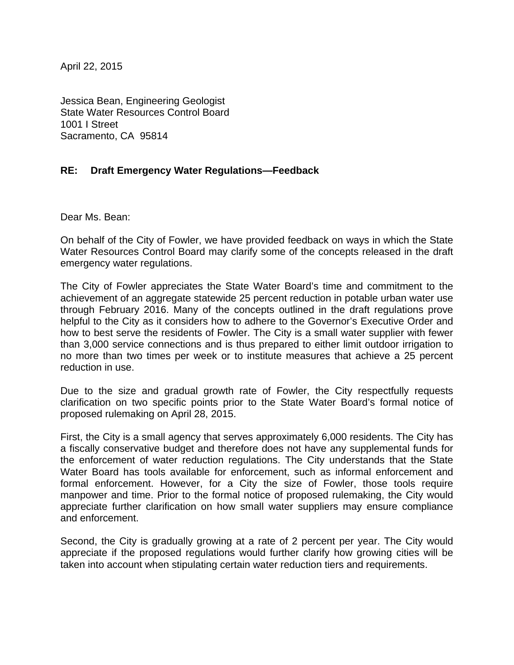April 22, 2015

Jessica Bean, Engineering Geologist State Water Resources Control Board 1001 I Street Sacramento, CA 95814

## **RE: Draft Emergency Water Regulations—Feedback**

Dear Ms. Bean:

On behalf of the City of Fowler, we have provided feedback on ways in which the State Water Resources Control Board may clarify some of the concepts released in the draft emergency water regulations.

The City of Fowler appreciates the State Water Board's time and commitment to the achievement of an aggregate statewide 25 percent reduction in potable urban water use through February 2016. Many of the concepts outlined in the draft regulations prove helpful to the City as it considers how to adhere to the Governor's Executive Order and how to best serve the residents of Fowler. The City is a small water supplier with fewer than 3,000 service connections and is thus prepared to either limit outdoor irrigation to no more than two times per week or to institute measures that achieve a 25 percent reduction in use.

Due to the size and gradual growth rate of Fowler, the City respectfully requests clarification on two specific points prior to the State Water Board's formal notice of proposed rulemaking on April 28, 2015.

First, the City is a small agency that serves approximately 6,000 residents. The City has a fiscally conservative budget and therefore does not have any supplemental funds for the enforcement of water reduction regulations. The City understands that the State Water Board has tools available for enforcement, such as informal enforcement and formal enforcement. However, for a City the size of Fowler, those tools require manpower and time. Prior to the formal notice of proposed rulemaking, the City would appreciate further clarification on how small water suppliers may ensure compliance and enforcement.

Second, the City is gradually growing at a rate of 2 percent per year. The City would appreciate if the proposed regulations would further clarify how growing cities will be taken into account when stipulating certain water reduction tiers and requirements.